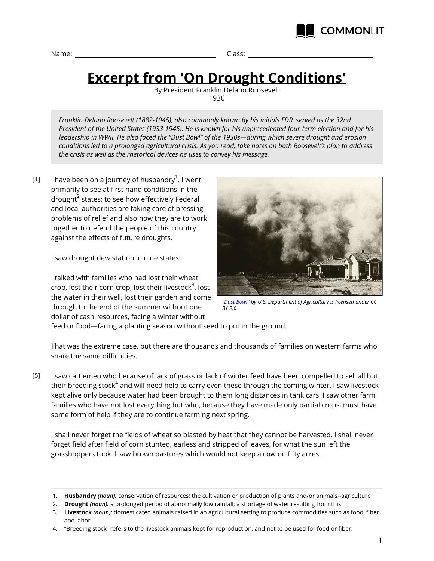

Name: Class:

## **Excerpt from 'On Drought Conditions'**

By President Franklin Delano Roosevelt 1936

*Franklin Delano Roosevelt (1882-1945), also commonly known by his initials FDR, served as the 32nd President of the United States (1933-1945). He is known for his unprecedented four-term election and for his leadership in WWII. He also faced the "Dust Bowl" of the 1930s—during which severe drought and erosion conditions led to a prolonged agricultural crisis. As you read, take notes on both Roosevelt's plan to address the crisis as well as the rhetorical devices he uses to convey his message.*

I have been on a journey of husbandry $^1$ . I went primarily to see at first hand conditions in the drought $^{\mathsf{2}}$  states; to see how effectively Federal and local authorities are taking care of pressing problems of relief and also how they are to work together to defend the people of this country against the effects of future droughts.  $[1]$ 

I saw drought devastation in nine states.

I talked with families who had lost their wheat crop, lost their corn crop, lost their livestock $^{\rm 3}$ , lost the water in their well, lost their garden and come through to the end of the summer without one dollar of cash resources, facing a winter without



*["Dust Bowl"](https://www.flickr.com/photos/usdagov/8191524030) by U.S. Department of Agriculture is licensed under CC BY 2.0.*

feed or food—facing a planting season without seed to put in the ground.

That was the extreme case, but there are thousands and thousands of families on western farms who share the same difficulties.

I saw cattlemen who because of lack of grass or lack of winter feed have been compelled to sell all but their breeding stock $^4$  and will need help to carry even these through the coming winter. I saw livestock kept alive only because water had been brought to them long distances in tank cars. I saw other farm families who have not lost everything but who, because they have made only partial crops, must have some form of help if they are to continue farming next spring. [5]

I shall never forget the fields of wheat so blasted by heat that they cannot be harvested. I shall never forget field after field of corn stunted, earless and stripped of leaves, for what the sun left the grasshoppers took. I saw brown pastures which would not keep a cow on fifty acres.

<sup>1.</sup> **Husbandry** *(noun):* conservation of resources; the cultivation or production of plants and/or animals--agriculture

<sup>2.</sup> **Drought** *(noun):* a prolonged period of abnormally low rainfall; a shortage of water resulting from this

<sup>3.</sup> **Livestock** *(noun):* domesticated animals raised in an agricultural setting to produce commodities such as food, fiber and labor

<sup>4.</sup> "Breeding stock" refers to the livestock animals kept for reproduction, and not to be used for food or fiber.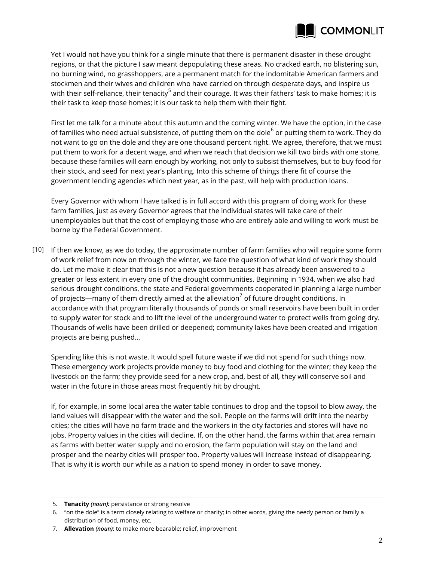

Yet I would not have you think for a single minute that there is permanent disaster in these drought regions, or that the picture I saw meant depopulating these areas. No cracked earth, no blistering sun, no burning wind, no grasshoppers, are a permanent match for the indomitable American farmers and stockmen and their wives and children who have carried on through desperate days, and inspire us with their self-reliance, their tenacity<sup>5</sup> and their courage. It was their fathers' task to make homes; it is their task to keep those homes; it is our task to help them with their fight.

First let me talk for a minute about this autumn and the coming winter. We have the option, in the case of families who need actual subsistence, of putting them on the dole $^6$  or putting them to work. They do not want to go on the dole and they are one thousand percent right. We agree, therefore, that we must put them to work for a decent wage, and when we reach that decision we kill two birds with one stone, because these families will earn enough by working, not only to subsist themselves, but to buy food for their stock, and seed for next year's planting. Into this scheme of things there fit of course the government lending agencies which next year, as in the past, will help with production loans.

Every Governor with whom I have talked is in full accord with this program of doing work for these farm families, just as every Governor agrees that the individual states will take care of their unemployables but that the cost of employing those who are entirely able and willing to work must be borne by the Federal Government.

If then we know, as we do today, the approximate number of farm families who will require some form [10] of work relief from now on through the winter, we face the question of what kind of work they should do. Let me make it clear that this is not a new question because it has already been answered to a greater or less extent in every one of the drought communities. Beginning in 1934, when we also had serious drought conditions, the state and Federal governments cooperated in planning a large number of projects—many of them directly aimed at the alleviation $^7$  of future drought conditions. In accordance with that program literally thousands of ponds or small reservoirs have been built in order to supply water for stock and to lift the level of the underground water to protect wells from going dry. Thousands of wells have been drilled or deepened; community lakes have been created and irrigation projects are being pushed…

Spending like this is not waste. It would spell future waste if we did not spend for such things now. These emergency work projects provide money to buy food and clothing for the winter; they keep the livestock on the farm; they provide seed for a new crop, and, best of all, they will conserve soil and water in the future in those areas most frequently hit by drought.

If, for example, in some local area the water table continues to drop and the topsoil to blow away, the land values will disappear with the water and the soil. People on the farms will drift into the nearby cities; the cities will have no farm trade and the workers in the city factories and stores will have no jobs. Property values in the cities will decline. If, on the other hand, the farms within that area remain as farms with better water supply and no erosion, the farm population will stay on the land and prosper and the nearby cities will prosper too. Property values will increase instead of disappearing. That is why it is worth our while as a nation to spend money in order to save money.

<sup>5.</sup> **Tenacity** *(noun):* persistance or strong resolve

<sup>6.</sup> "on the dole" is a term closely relating to welfare or charity; in other words, giving the needy person or family a distribution of food, money, etc.

<sup>7.</sup> **Allevation** *(noun):* to make more bearable; relief, improvement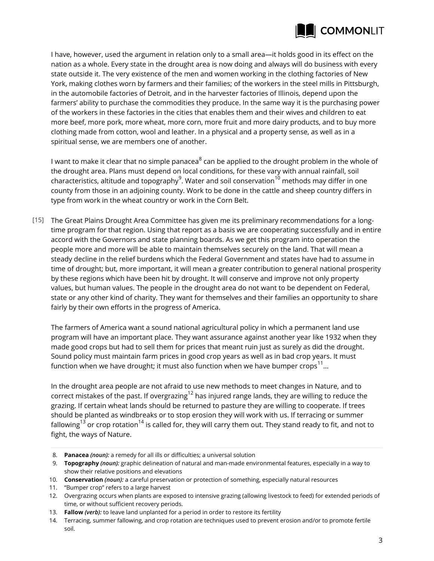

I have, however, used the argument in relation only to a small area—it holds good in its effect on the nation as a whole. Every state in the drought area is now doing and always will do business with every state outside it. The very existence of the men and women working in the clothing factories of New York, making clothes worn by farmers and their families; of the workers in the steel mills in Pittsburgh, in the automobile factories of Detroit, and in the harvester factories of Illinois, depend upon the farmers' ability to purchase the commodities they produce. In the same way it is the purchasing power of the workers in these factories in the cities that enables them and their wives and children to eat more beef, more pork, more wheat, more corn, more fruit and more dairy products, and to buy more clothing made from cotton, wool and leather. In a physical and a property sense, as well as in a spiritual sense, we are members one of another.

I want to make it clear that no simple panacea $^8$  can be applied to the drought problem in the whole of the drought area. Plans must depend on local conditions, for these vary with annual rainfall, soil characteristics, altitude and topography $^9$ . Water and soil conservation $^{10}$  methods may differ in one county from those in an adjoining county. Work to be done in the cattle and sheep country differs in type from work in the wheat country or work in the Corn Belt.

The Great Plains Drought Area Committee has given me its preliminary recommendations for a long-[15] time program for that region. Using that report as a basis we are cooperating successfully and in entire accord with the Governors and state planning boards. As we get this program into operation the people more and more will be able to maintain themselves securely on the land. That will mean a steady decline in the relief burdens which the Federal Government and states have had to assume in time of drought; but, more important, it will mean a greater contribution to general national prosperity by these regions which have been hit by drought. It will conserve and improve not only property values, but human values. The people in the drought area do not want to be dependent on Federal, state or any other kind of charity. They want for themselves and their families an opportunity to share fairly by their own efforts in the progress of America.

The farmers of America want a sound national agricultural policy in which a permanent land use program will have an important place. They want assurance against another year like 1932 when they made good crops but had to sell them for prices that meant ruin just as surely as did the drought. Sound policy must maintain farm prices in good crop years as well as in bad crop years. It must function when we have drought; it must also function when we have bumper crops<sup>11</sup>...

In the drought area people are not afraid to use new methods to meet changes in Nature, and to correct mistakes of the past. If overgrazing<sup>12</sup> has injured range lands, they are willing to reduce the grazing. If certain wheat lands should be returned to pasture they are willing to cooperate. If trees should be planted as windbreaks or to stop erosion they will work with us. If terracing or summer fallowing<sup>13</sup> or crop rotation<sup>14</sup> is called for, they will carry them out. They stand ready to fit, and not to fight, the ways of Nature.

<sup>8.</sup> **Panacea** *(noun):* a remedy for all ills or difficulties; a universal solution

<sup>9.</sup> **Topography** *(noun):* graphic delineation of natural and man-made environmental features, especially in a way to show their relative positions and elevations

<sup>10.</sup> **Conservation** *(noun):* a careful preservation or protection of something, especially natural resources

<sup>11.</sup> "Bumper crop" refers to a large harvest

<sup>12.</sup> Overgrazing occurs when plants are exposed to intensive grazing (allowing livestock to feed) for extended periods of time, or without sufficient recovery periods.

<sup>13.</sup> **Fallow** *(verb):* to leave land unplanted for a period in order to restore its fertility

<sup>14.</sup> Terracing, summer fallowing, and crop rotation are techniques used to prevent erosion and/or to promote fertile soil.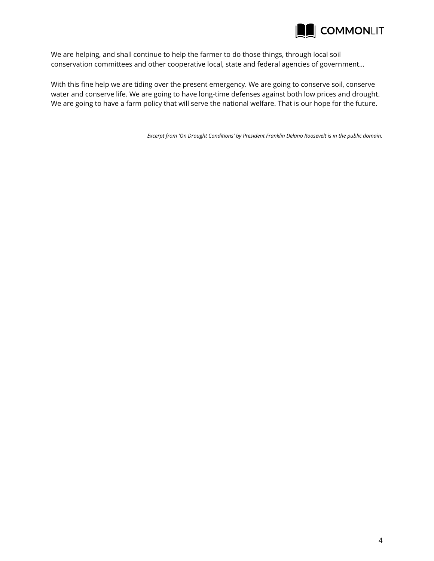

We are helping, and shall continue to help the farmer to do those things, through local soil conservation committees and other cooperative local, state and federal agencies of government…

With this fine help we are tiding over the present emergency. We are going to conserve soil, conserve water and conserve life. We are going to have long-time defenses against both low prices and drought. We are going to have a farm policy that will serve the national welfare. That is our hope for the future.

*Excerpt from 'On Drought Conditions' by President Franklin Delano Roosevelt is in the public domain.*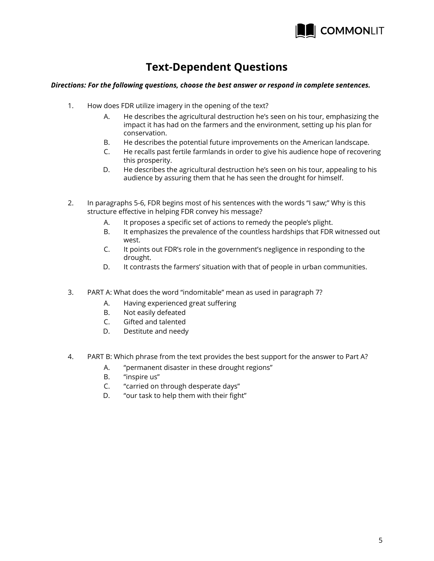

## **Text-Dependent Questions**

## *Directions: For the following questions, choose the best answer or respond in complete sentences.*

- 1. How does FDR utilize imagery in the opening of the text?
	- A. He describes the agricultural destruction he's seen on his tour, emphasizing the impact it has had on the farmers and the environment, setting up his plan for conservation.
	- B. He describes the potential future improvements on the American landscape.
	- C. He recalls past fertile farmlands in order to give his audience hope of recovering this prosperity.
	- D. He describes the agricultural destruction he's seen on his tour, appealing to his audience by assuring them that he has seen the drought for himself.
- 2. In paragraphs 5-6, FDR begins most of his sentences with the words "I saw;" Why is this structure effective in helping FDR convey his message?
	- A. It proposes a specific set of actions to remedy the people's plight.
	- B. It emphasizes the prevalence of the countless hardships that FDR witnessed out west.
	- C. It points out FDR's role in the government's negligence in responding to the drought.
	- D. It contrasts the farmers' situation with that of people in urban communities.
- 3. PART A: What does the word "indomitable" mean as used in paragraph 7?
	- A. Having experienced great suffering
	- B. Not easily defeated
	- C. Gifted and talented
	- D. Destitute and needy
- 4. PART B: Which phrase from the text provides the best support for the answer to Part A?
	- A. "permanent disaster in these drought regions"
	- B. "inspire us"
	- C. "carried on through desperate days"
	- D. "our task to help them with their fight"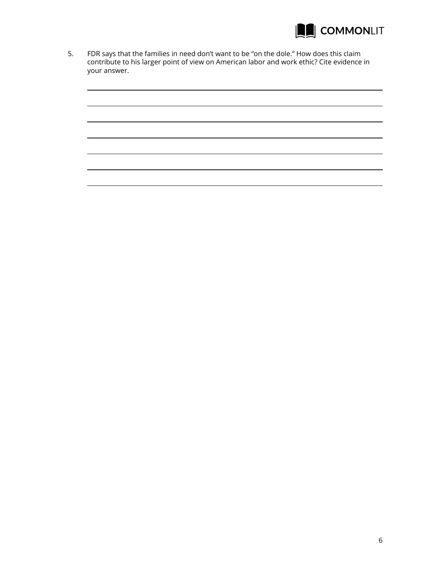

5. FDR says that the families in need don't want to be "on the dole." How does this claim contribute to his larger point of view on American labor and work ethic? Cite evidence in your answer.